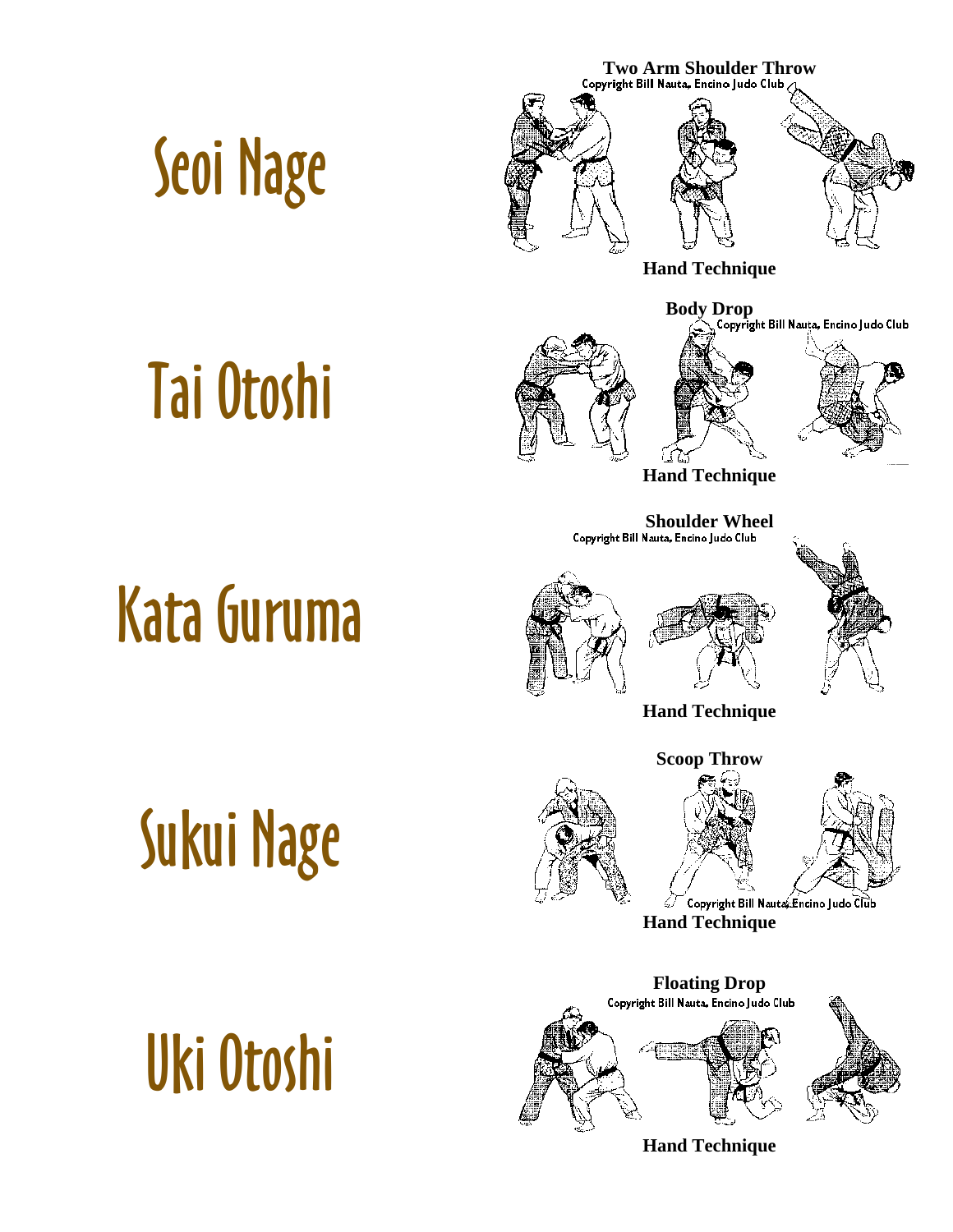



**Hand Technique** 

**Body Drop**<br>Copyright Bill Nauta, Encino Judo Club

## [Tai Otoshi](http://www.judoinfo.com/images/animations/blue/taiotoshi.gif)



**Hand Technique** 

**Shoulder Wheel**<br>Copyright Bill Nauta, Encino Judo Club

# [Kata Guruma](http://www.judoinfo.com/images/animations/blue/kataguruma.htm)

[Sukui Nage](http://www.judoinfo.com/images/animations/blue/sukuinage.htm)





**Hand Technique** 

**Scoop Throw** 



Copyright Bill Nauta Encino Judo Club

**Hand Technique** 



[Uki Otoshi](http://www.judoinfo.com/images/animations/blue/ukiotoshi.htm)

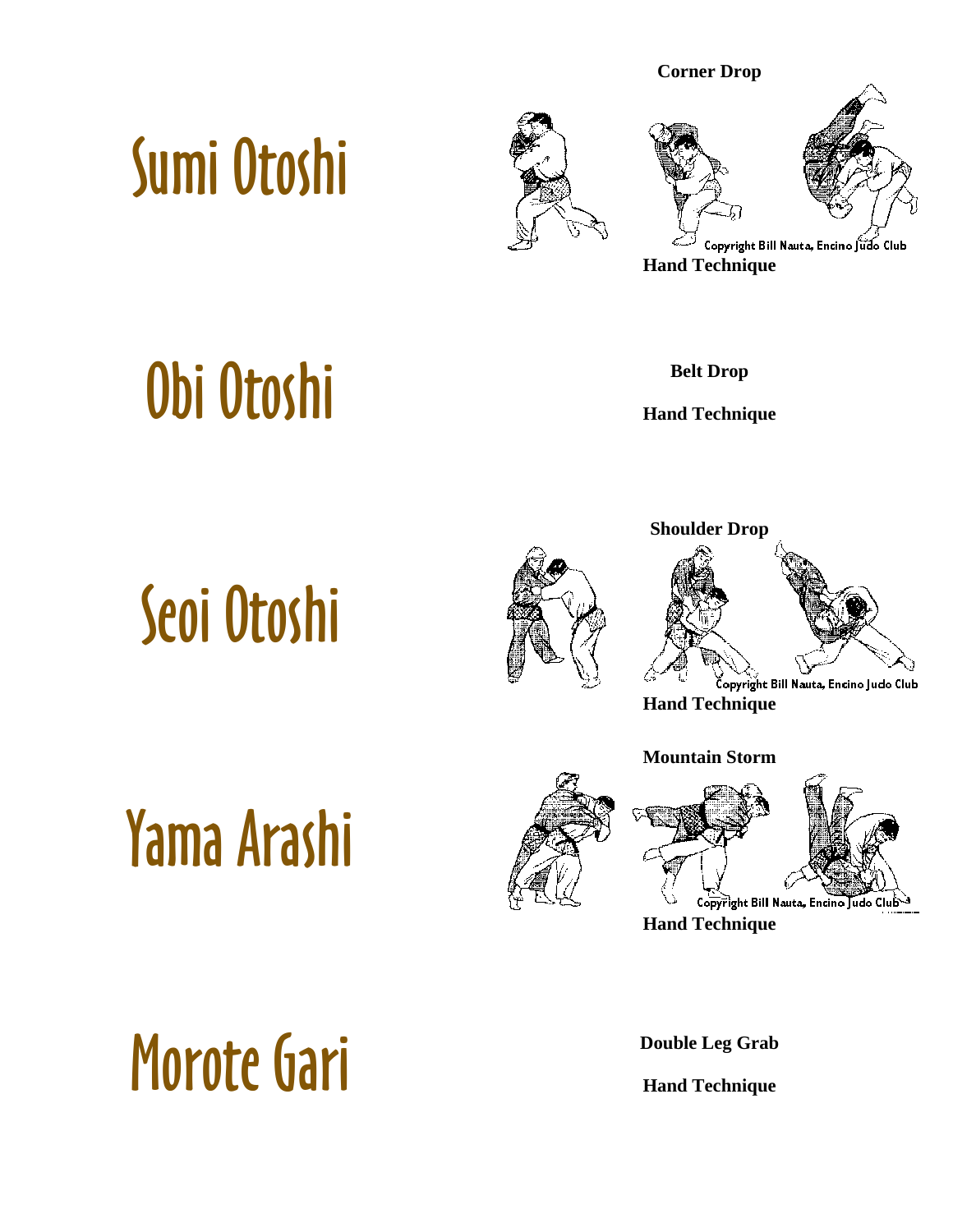## [Sumi Otoshi](http://www.judoinfo.com/images/animations/blue/sumiotoshi.htm)





**Corner Drop** 

## [Obi Otoshi](http://www.judoinfo.com/images/animations/blue/obiotoshi.htm) **Belt Drop**

**Hand Technique** 

# [Seoi Otoshi](http://www.judoinfo.com/images/animations/blue/seoiotoshi.htm)





**Hand Technique** 

#### **Mountain Storm**







**Hand Technique** 

## [Morote Gari](http://www.kodokan.org/e_waza/morotegari.html) **Double Leg Grab**

**Hand Technique**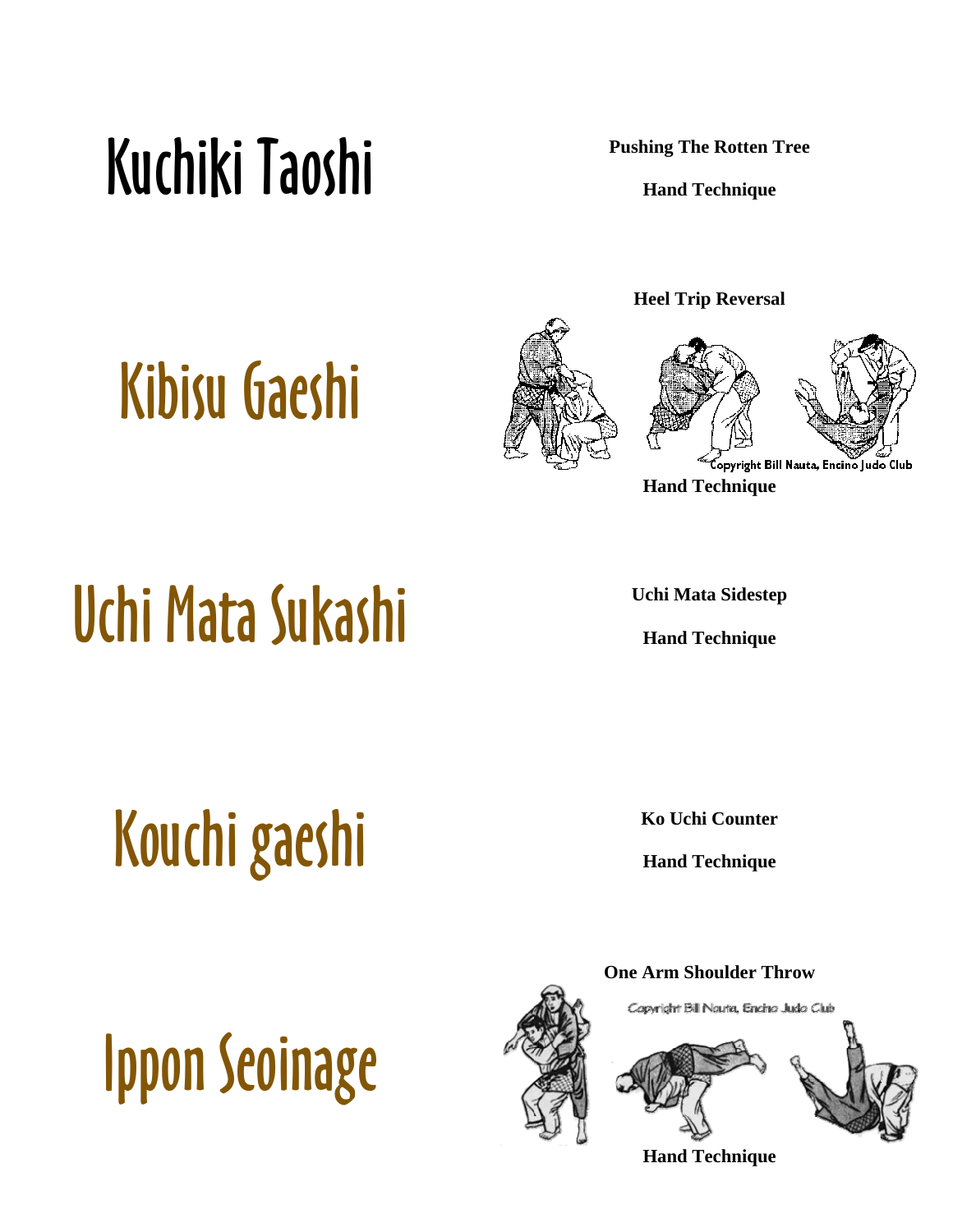## Kuchiki Taoshi **Pushing The Rotten Tree**

**Hand Technique** 

## [Kibisu Gaeshi](http://www.judoinfo.com/images/nauta/kibisu.gif)



**Heel Trip Reversal** 



**Hand Technique** 

## [Uchi Mata Sukashi](http://www.kodokan.org/e_waza/uchimatasukashi.html) **Uchi Mata Sidestep**

**Hand Technique** 

[Kouchi gaeshi](http://judoinfo.com/gokyo3.htm) **Kouchi Counter Hand Technique** 

# [Ippon Seoinage](http://www.judoinfo.com/images/animations/blue/ipponseoi.htm)



Copyright Bill Nauta, Encino Judo Club

**Hand Technique**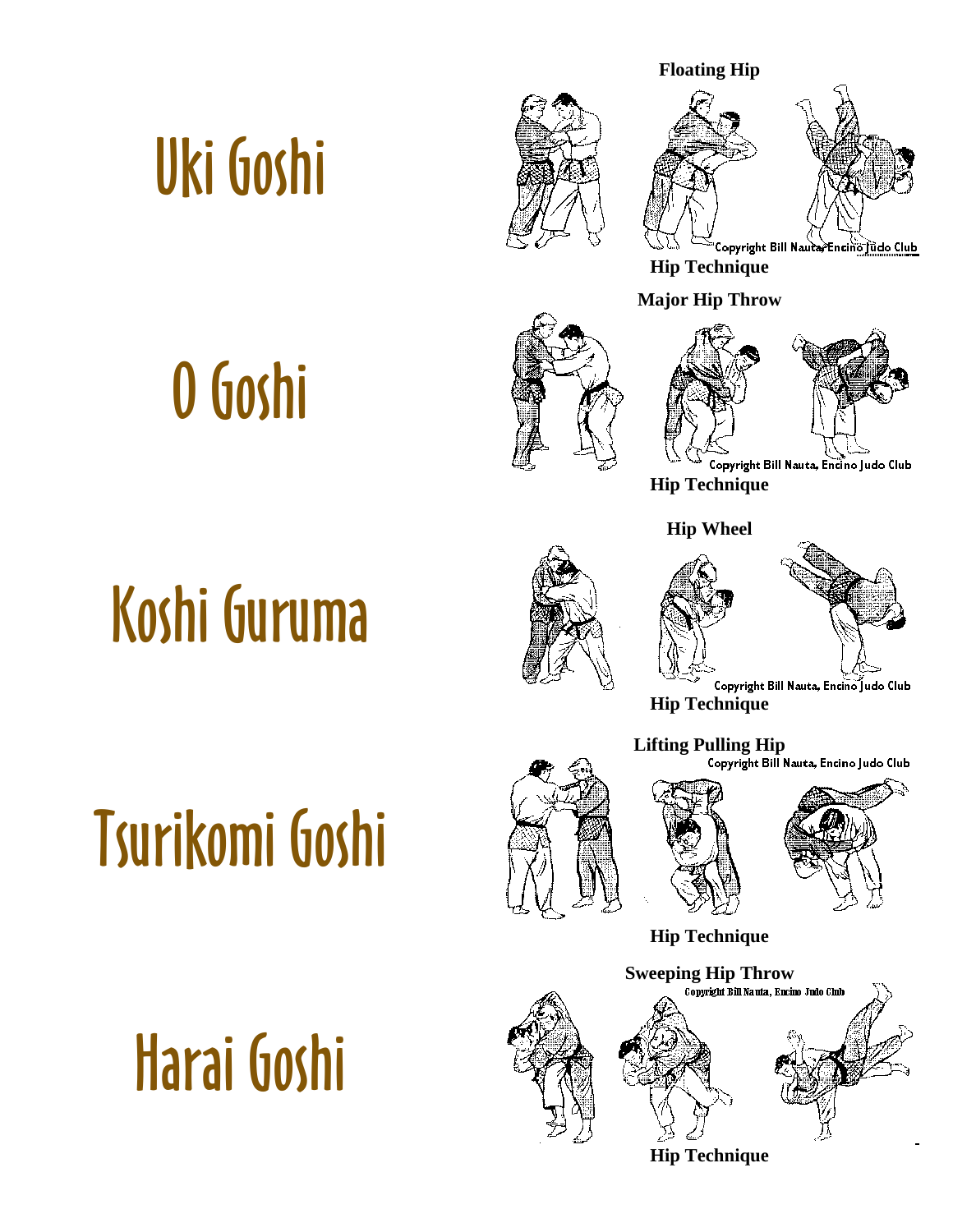#### **Floating Hip**



**Hip Technique** 

**Major Hip Throw** 



**Hip Technique** 





Copyright Bill Nauta, Encino Judo Club

**Hip Technique** 



**Lifting Pulling Hip** 



**Hip Technique** 



**Hip Technique** 



## [O Goshi](http://www.judoinfo.com/images/animations/blue/ogoshi.htm)





## [Tsurikomi Goshi](http://www.judoinfo.com/images/animations/blue/tsurikomigoshi.htm)

[Harai Goshi](http://www.judoinfo.com/images/animations/blue/haraigoshi.htm)

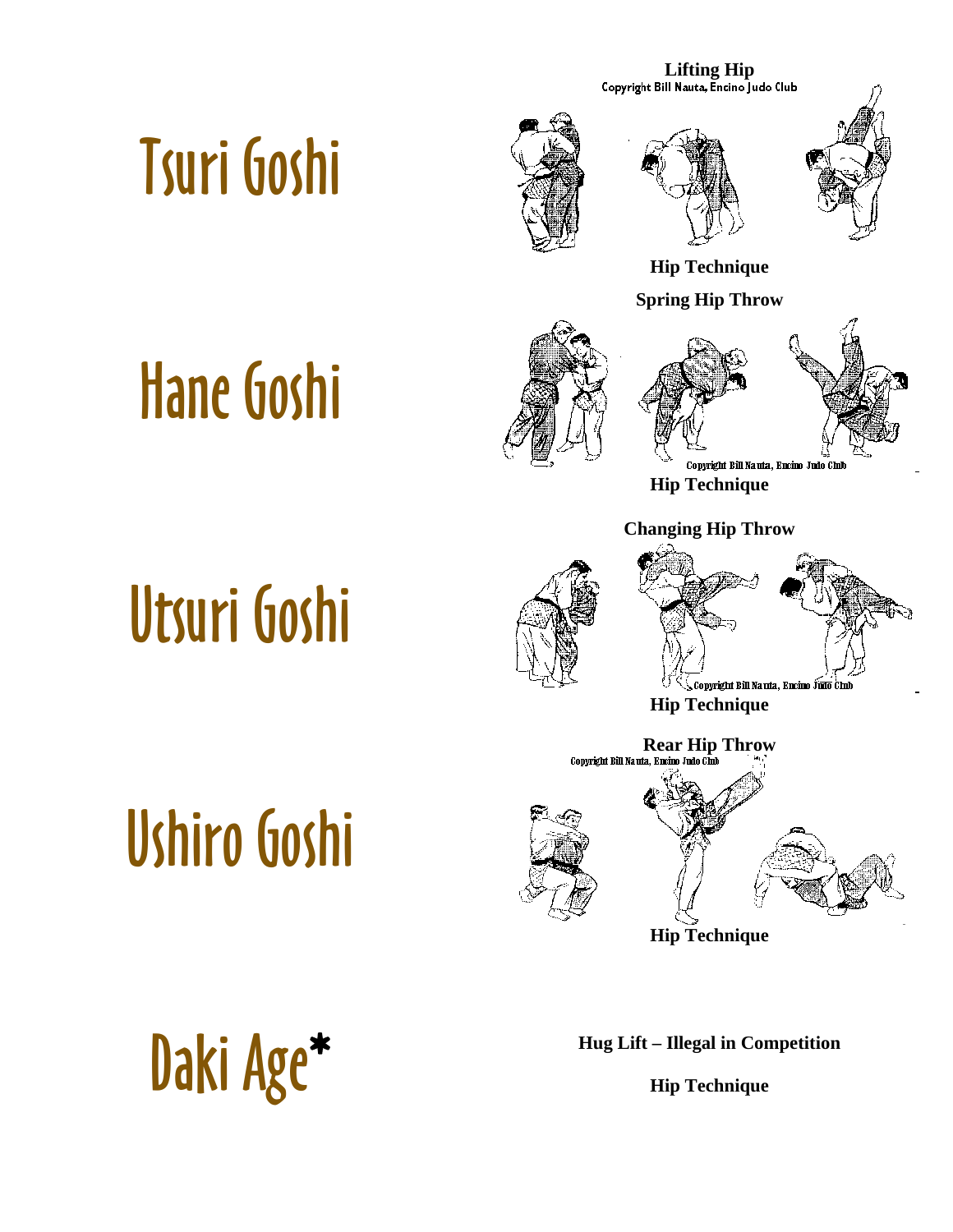**Lifting Hip**<br>Copyright Bill Nauta, Encino Judo Club

## [Tsuri Goshi](http://www.judoinfo.com/images/animations/blue/tsurigoshi.htm)







**Hip Technique** 

**Spring Hip Throw** 

## [Hane Goshi](http://www.judoinfo.com/images/animations/blue/hanegoshi.htm)





**Hip Technique** 

#### **Changing Hip Throw**

## [Utsuri Goshi](http://www.judoinfo.com/images/animations/blue/utsurigoshi.htm)

[Ushiro Goshi](http://www.judoinfo.com/images/animations/blue/ushirogoshi.htm)



, Copyright Bill Nauta, Encino Judo (

**Hip Technique** 



**Hip Technique** 

**[Daki Age](http://www.judoinfo.com/images/dakiage.jpg)\* Hug Lift – Illegal in Competition** 

**Hip Technique**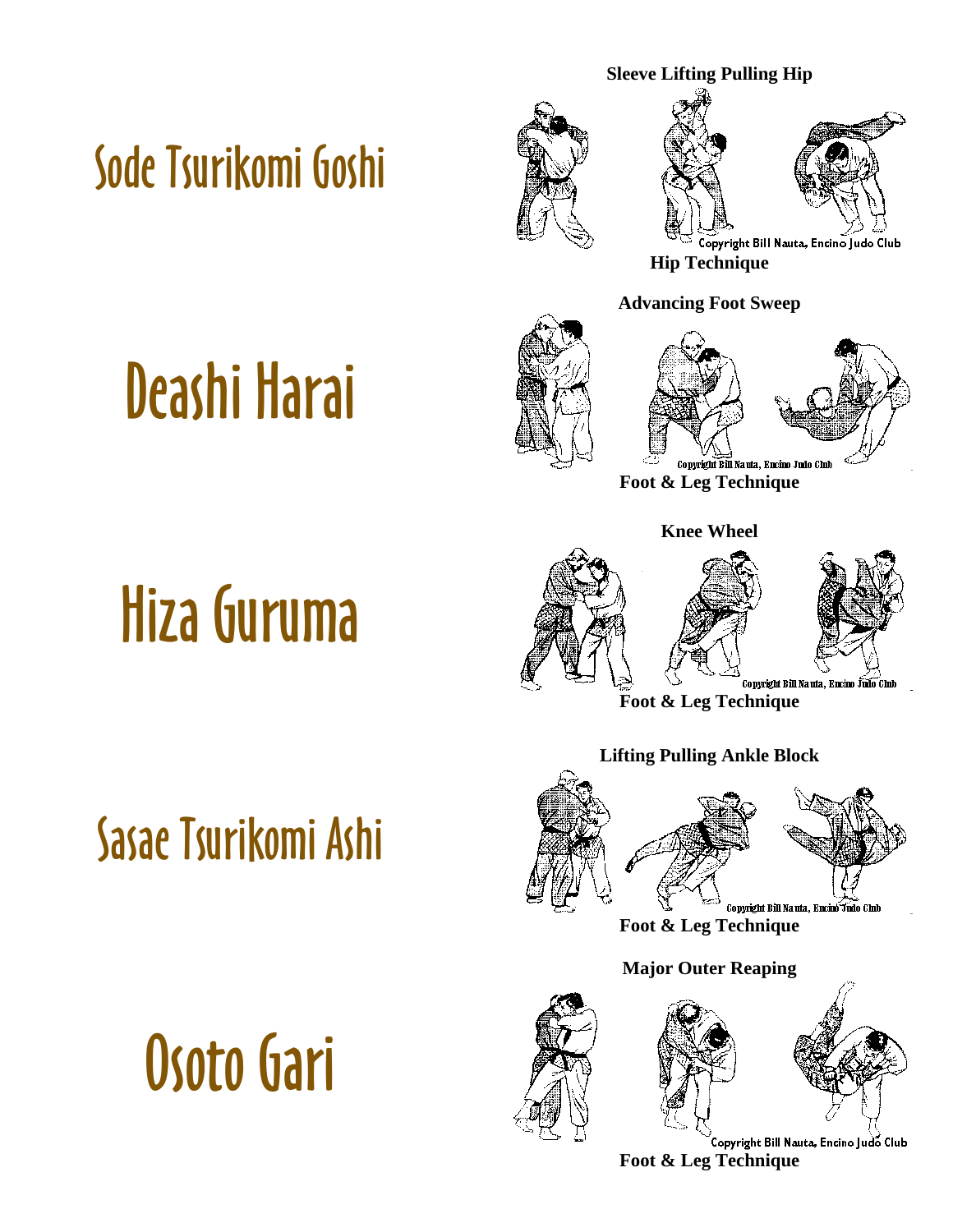#### [Sode Tsurikomi Goshi](http://www.judoinfo.com/images/animations/blue/sodetsurikomigoshi.htm)





**Hip Technique** 

#### **Advancing Foot Sweep**





Copyright Bill Nauta, Encino Judo Club **Foot & Leg Technique** 

#### **Knee Wheel**





Copyright Bill Nauta, Encino Judo Chib

**Foot & Leg Technique** 

#### **Lifting Pulling Ankle Block**



**Foot & Leg Technique** 

#### **Major Outer Reaping**





Copyright Bill Nauta, Encino Judo Club **Foot & Leg Technique** 

## [Deashi Harai](http://www.judoinfo.com/images/animations/blue/deashibarai.htm)

[Hiza Guruma](http://www.judoinfo.com/images/animations/blue/hizaguruma.htm)

[Sasae Tsurikomi Ashi](http://www.judoinfo.com/images/animations/blue/sasaetsurikomiashi.htm)

[Osoto Gari](http://www.judoinfo.com/images/animations/blue/osotogari.htm)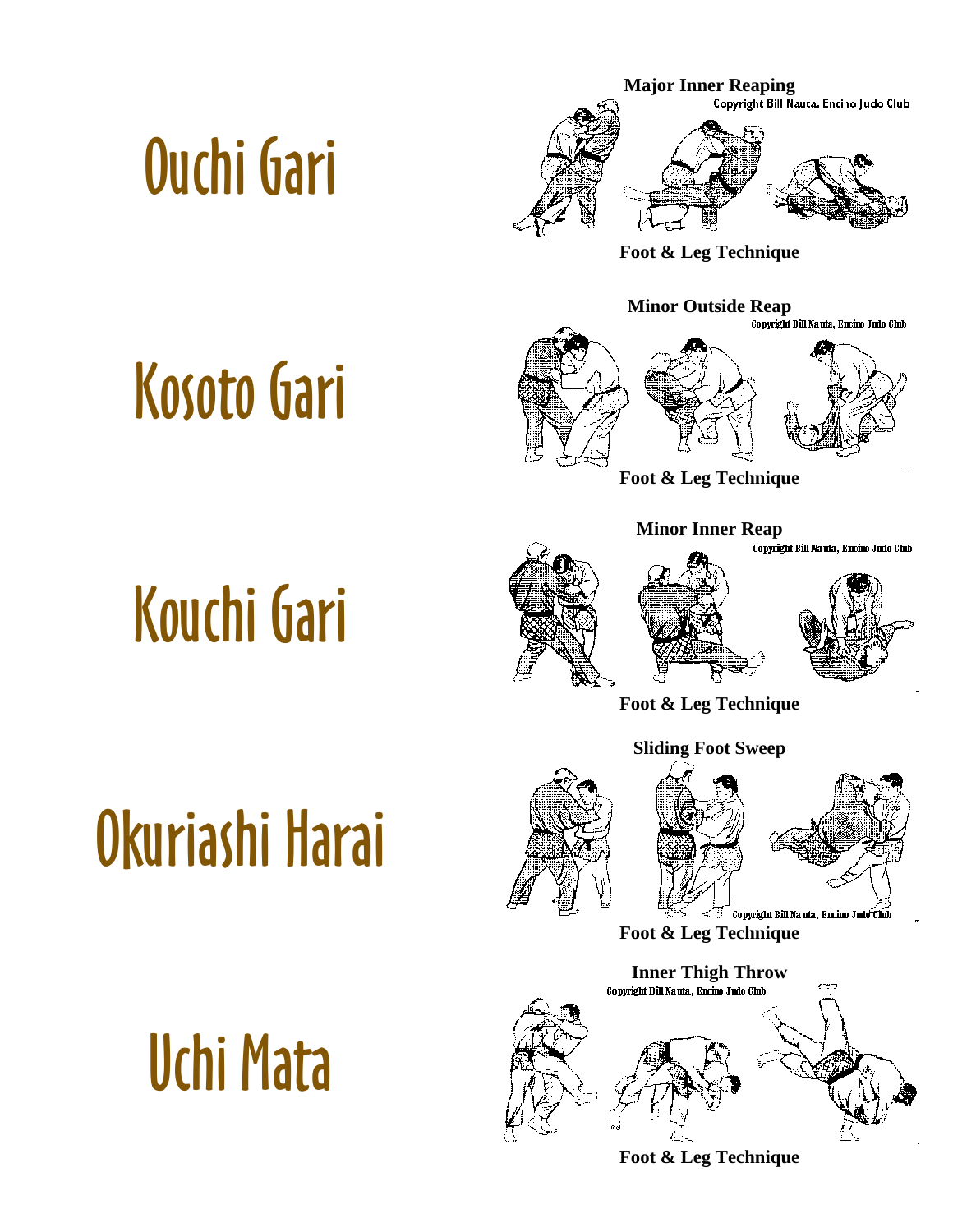## [Ouchi Gari](http://www.judoinfo.com/images/animations/blue/ouchigari.htm)

[Kosoto Gari](http://www.judoinfo.com/images/animations/blue/kosotogari.htm)



**Foot & Leg Technique** 



**Foot & Leg Technique** 

**Minor Inner Reap** 





Copyright Bill Nauta, Encino Judo Club

**Foot & Leg Technique** 

**Sliding Foot Sweep** 

## [Okuriashi Harai](http://www.judoinfo.com/images/animations/blue/okuriashiharai.htm)

[Uchi Mata](http://www.judoinfo.com/images/animations/blue/uchimata.htm)





**Foot & Leg Technique** 



**Foot & Leg Technique**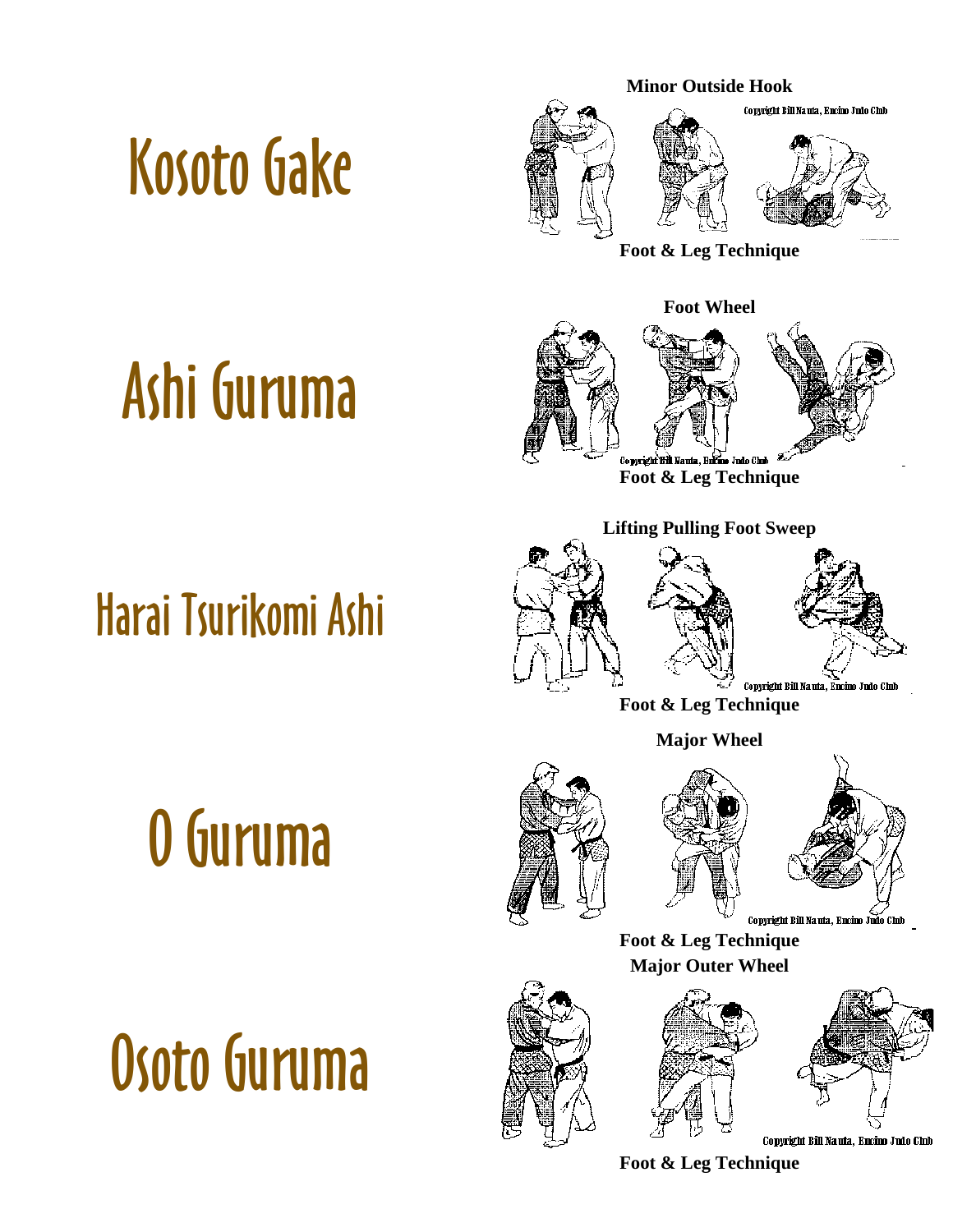## [Kosoto Gake](http://www.judoinfo.com/images/animations/blue/kosotogake.htm)



**Foot & Leg Technique** 

# [Ashi Guruma](http://www.judoinfo.com/images/animations/blue/ashiguruma.htm)

#### [Harai Tsurikomi Ashi](http://www.judoinfo.com/images/animations/blue/haraitsurikomiashi.htm)



**Foot & Leg Technique** 

**Lifting Pulling Foot Sweep** 



**Foot & Leg Technique** 

**Major Wheel** 

# [O Guruma](http://www.judoinfo.com/images/animations/blue/oguruma.htm)

[Osoto Guruma](http://www.judoinfo.com/images/animations/blue/osotoguruma.htm)





Copyright Bill Nauta, Encino Judo Chib

**Foot & Leg Technique Major Outer Wheel** 





Copyright Bill Nauta, Encino Judo Club

**Foot & Leg Technique**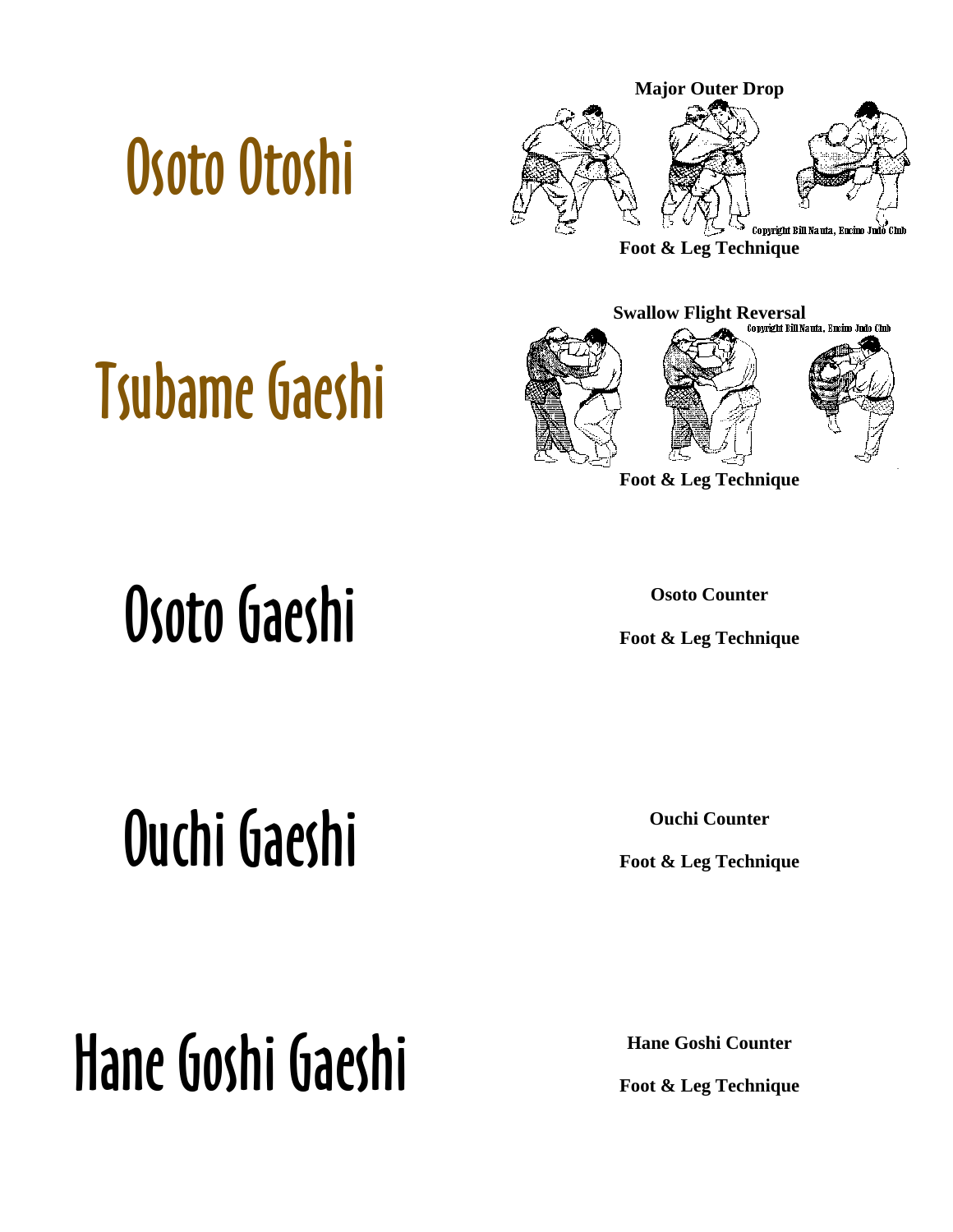## [Osoto Otoshi](http://www.judoinfo.com/images/animations/blue/osotootoshi.htm)



**Foot & Leg Technique** 

## [Tsubame Gaeshi](http://www.judoinfo.com/images/animations/blue/tsubamegaeshi.htm)



**Foot & Leg Technique** 

## Osoto Gaeshi **Osoto Counter**

**Foot & Leg Technique** 

**Ouchi Gaeshi Canadidae Counter Counter Counter** 

**Foot & Leg Technique** 

**Foot & Leg Technique** 

# Hane Goshi Gaeshi **Hane Goshi Counter**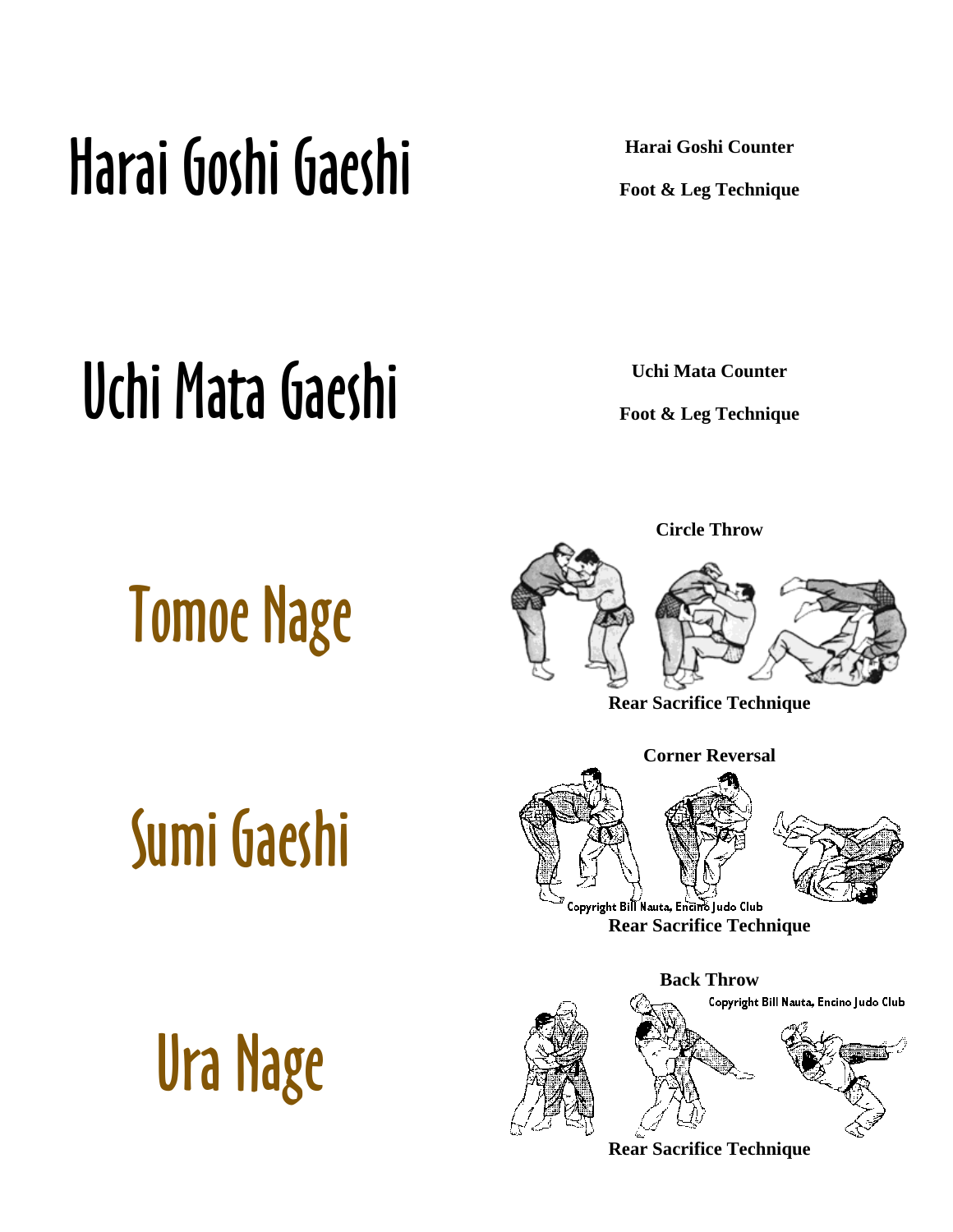## Harai Goshi Gaeshi **Harai Goshi Counter**

**Foot & Leg Technique** 

### Uchi Mata Gaeshi **Uchi Mata Counter**

**Foot & Leg Technique** 

# [Tomoe Nage](http://www.judoinfo.com/images/animations/blue/tomoenage.htm)



**Circle Throw** 

**Rear Sacrifice Technique** 

# [Sumi Gaeshi](http://www.judoinfo.com/images/animations/blue/sumigaeshi.htm)





opyright Bill Nauta, Encino Judo Club **Rear Sacrifice Technique** 

**Back Throw** 





Copyright Bill Nauta, Encino Judo Club

**Rear Sacrifice Technique**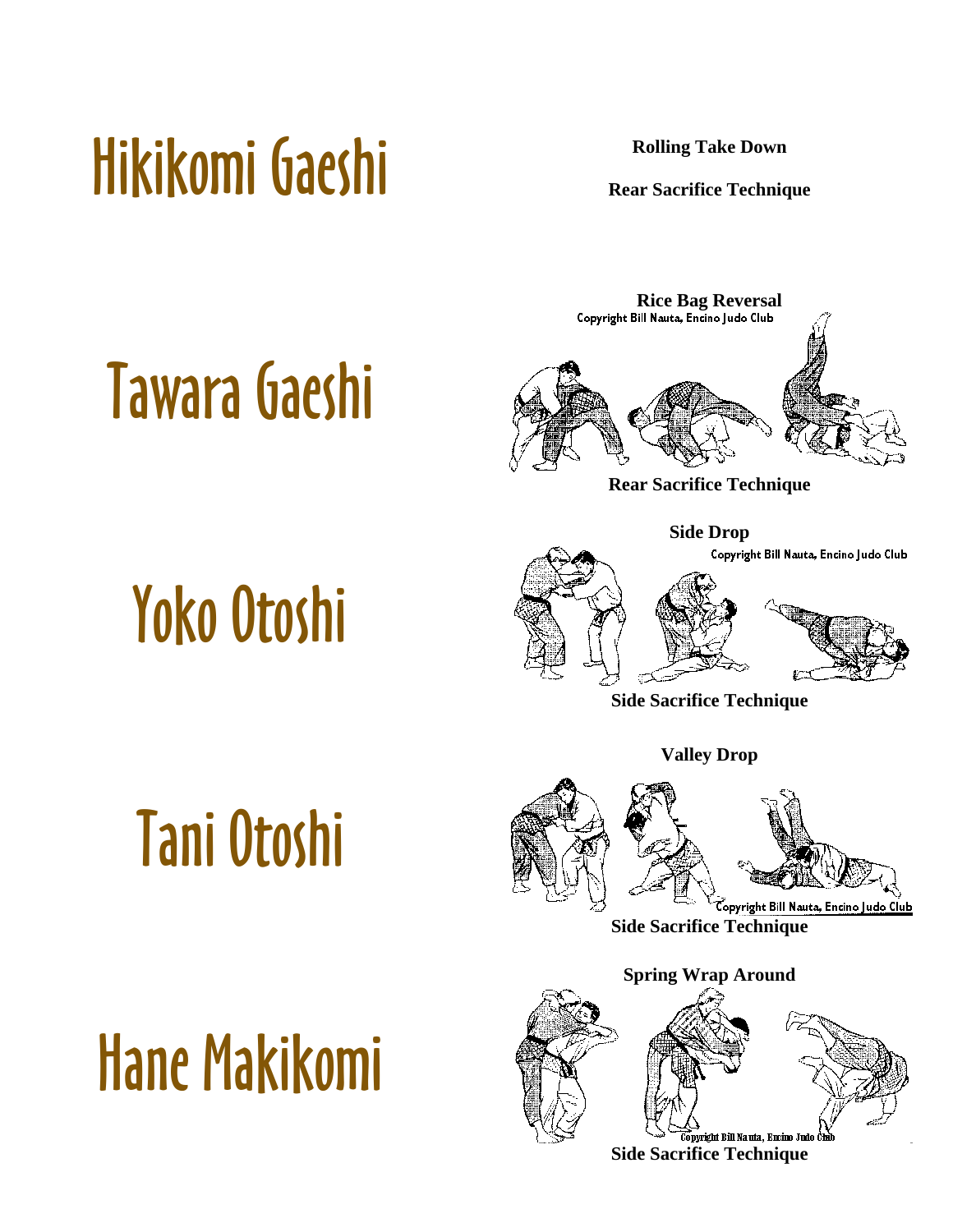## [Hikikomi Gaeshi](http://www.judoinfo.com/images/animations/blue/hikikomigaeshi.htm) **Rear Sacrifice Technic**

[Tawara Gaeshi](http://www.judoinfo.com/images/animations/blue/tawaragaeshi.htm)

[Yoko Otoshi](http://www.judoinfo.com/images/animations/blue/yokootoshi.htm)

**Rear Sacrifice Technique** 



**Rear Sacrifice Technique** 

**Side Drop** 

Copyright Bill Nauta, Encino Judo Club





**Side Sacrifice Technique** 

**Valley Drop** 

# [Tani Otoshi](http://www.judoinfo.com/images/animations/blue/taniotoshi.htm)



**Side Sacrifice Technique** 

**Spring Wrap Around** 



[Hane Makikomi](http://www.judoinfo.com/images/nauta/hanemaki.gif)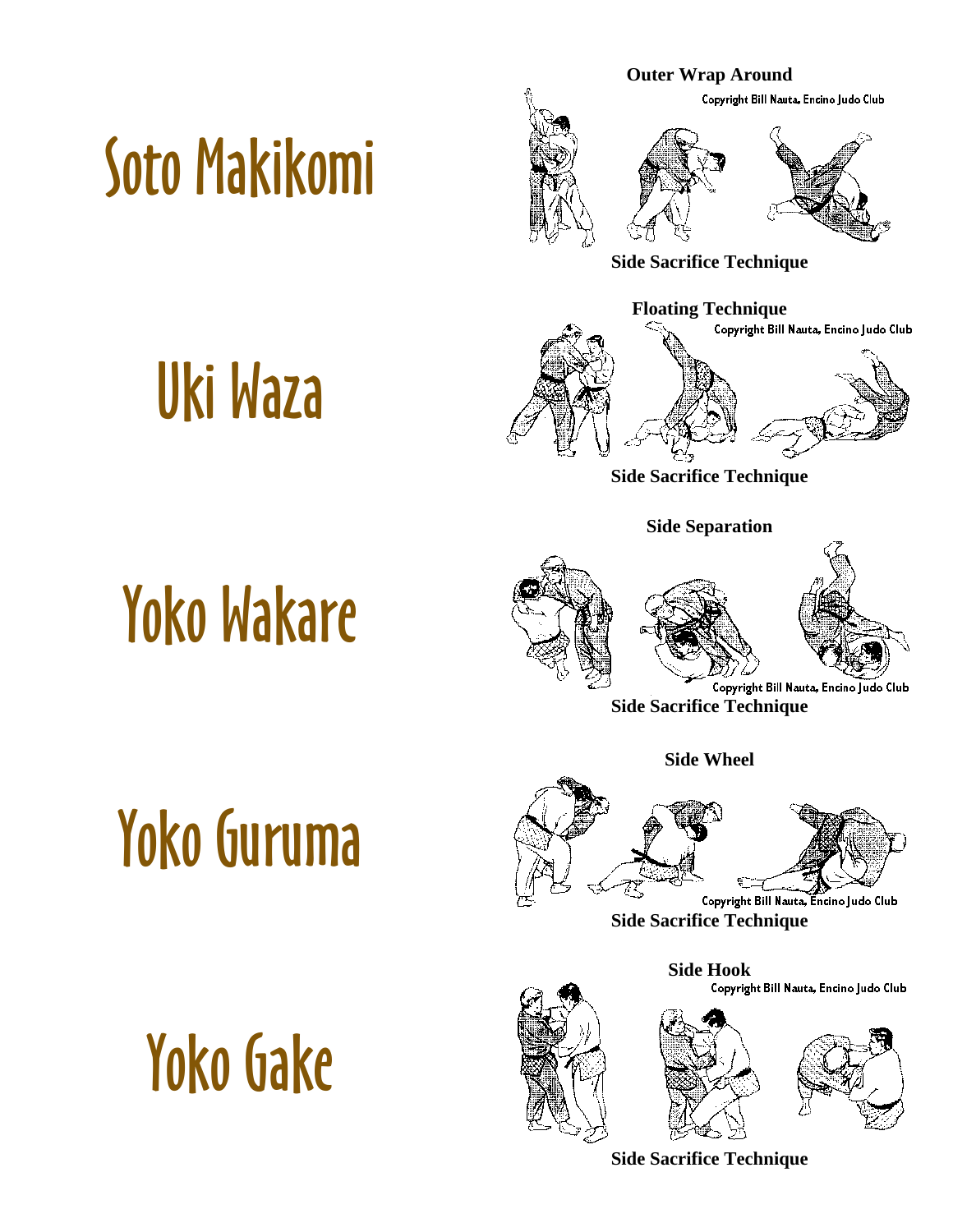## [Soto Makikomi](http://www.judoinfo.com/images/animations/blue/sotomakikomi.htm)





**Side Sacrifice Technique** 

**Side Separation** 

# [Yoko Wakare](http://www.judoinfo.com/images/animations/blue/yokowakare.htm)

[Uki Waza](http://www.judoinfo.com/images/animations/blue/ukiwaza.htm)





Copyright Bill Nauta, Encino Judo Club

**Side Sacrifice Technique** 

**Side Wheel** 

# [Yoko Guruma](http://www.judoinfo.com/images/animations/blue/yokoguruma.htm)



**Side Sacrifice Technique** 

**Side Hook** 

**Side Sacrifice Technique** 







[Yoko Gake](http://www.judoinfo.com/images/animations/blue/yokogake.gif)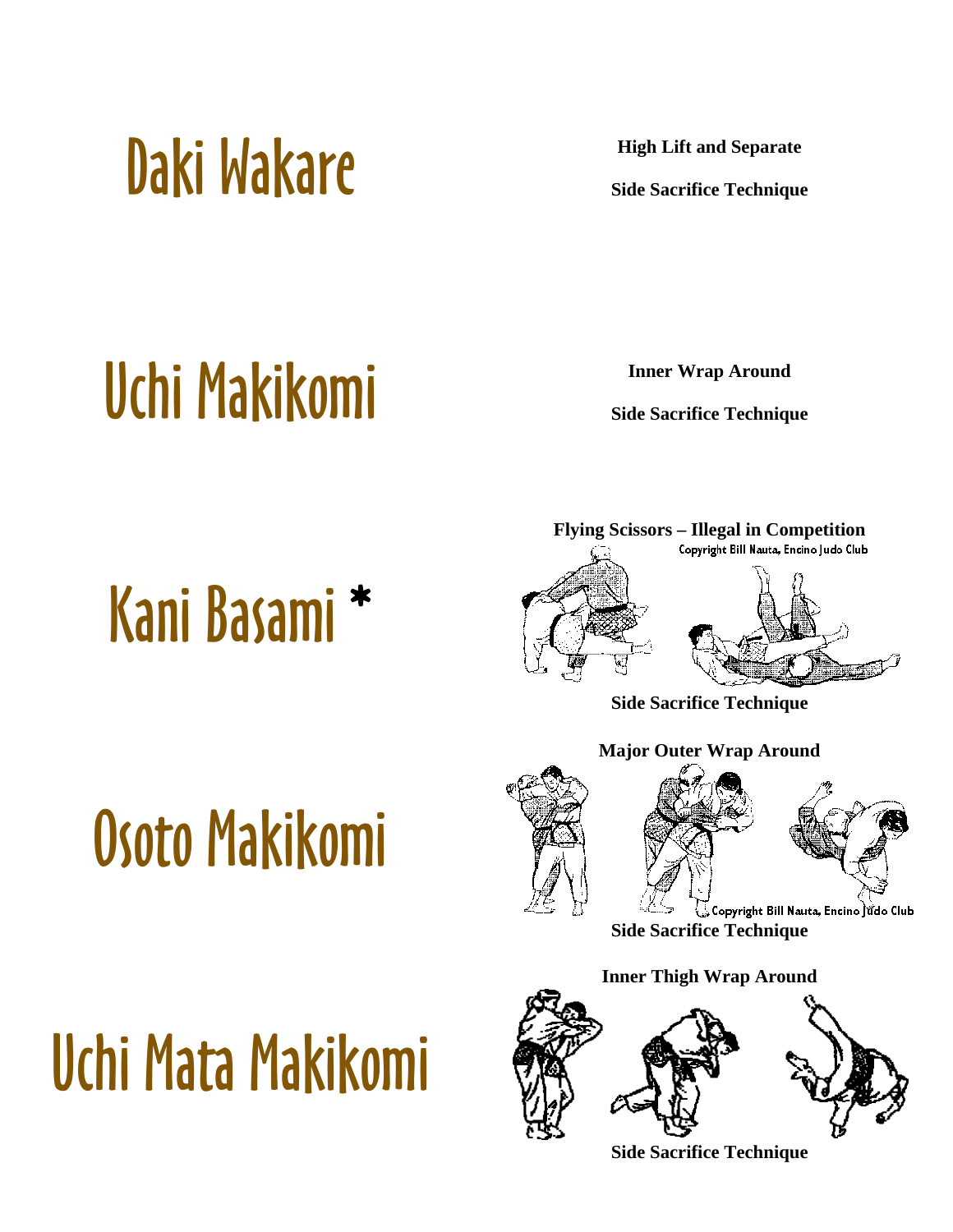

**Side Sacrifice Technique** 

### [Uchi Makikomi](http://www.judoinfo.com/images/animations/blue/uchimakikomi.htm) **Inner Wrap Around**

**Side Sacrifice Technique** 

# [Kani Basami](http://www.judoinfo.com/images/nauta/kanibasa.gif) \*



**Side Sacrifice Technique** 

## [Osoto Makikomi](http://www.judoinfo.com/images/nauta/osotomak.gif)

[Uchi Mata Makikomi](http://www.judoinfo.com/images/nauta/uchimaki.gif)





Copyright Bill Nauta, Encino iŭdo Club **Side Sacrifice Technique** 

**Inner Thigh Wrap Around** 



**Side Sacrifice Technique**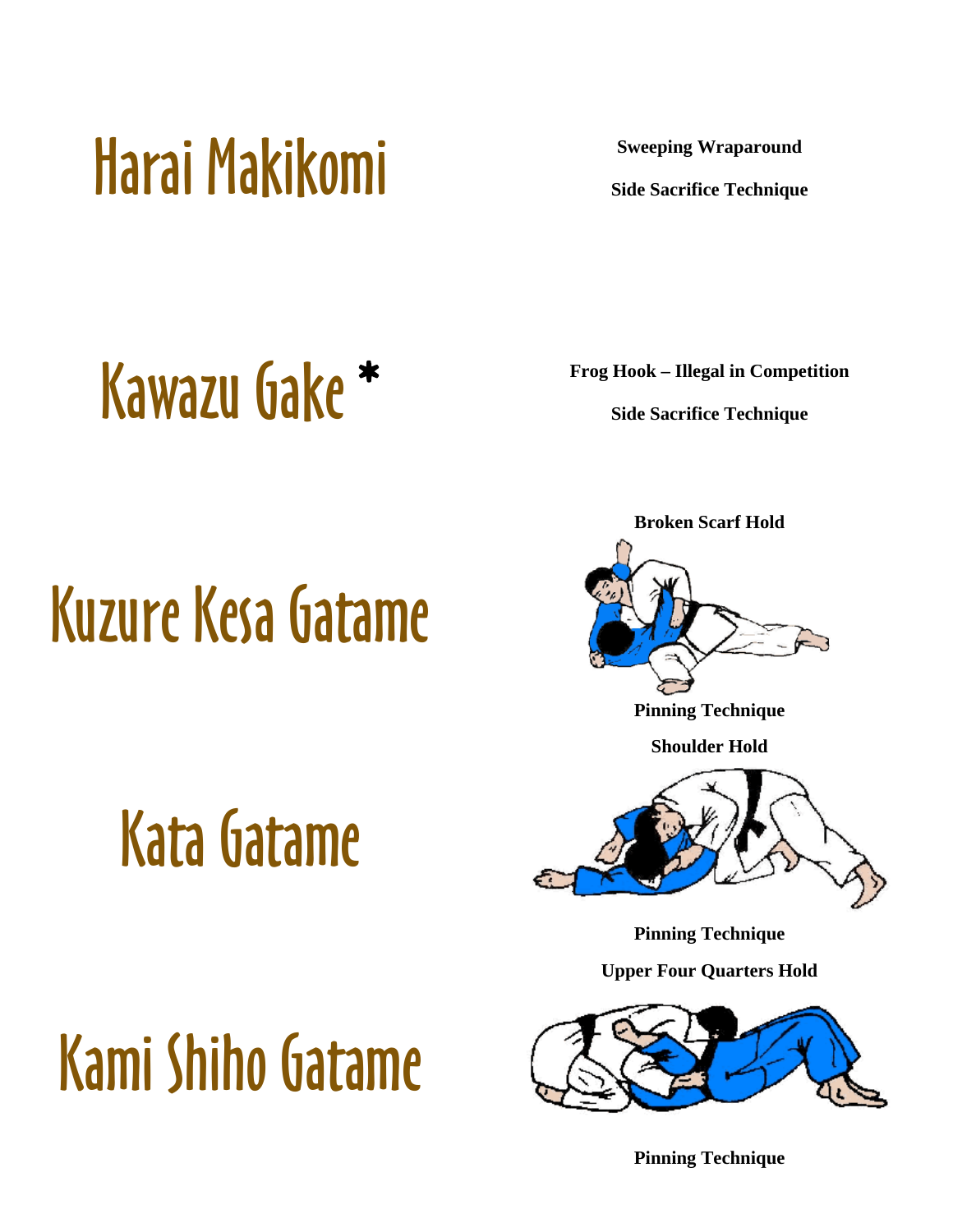### [Harai Makikomi](http://www.judoinfo.com/images/animations/blue/haraimakikomi.htm) **Sweeping Wraparound**

**Side Sacrifice Technique** 

### **[Kawazu Gake](http://www.judoinfo.com/images/kawazu.jpg)** \* **Frog Hook – Illegal in Competition**

**Side Sacrifice Technique** 

## [Kuzure Kesa Gatame](http://www.judoinfo.com/images/osaekomi/kuzure_kesa_gatame.gif)

## [Kata Gatame](http://www.judoinfo.com/images/osaekomi/kata_gatame.gif)



**Broken Scarf Hold** 

**Pinning Technique**

**Shoulder Hold** 



**Pinning Technique**

**Upper Four Quarters Hold** 



**Pinning Technique**

# [Kami Shiho Gatame](http://www.judoinfo.com/images/osaekomi/kami_shiho_gatame.gif)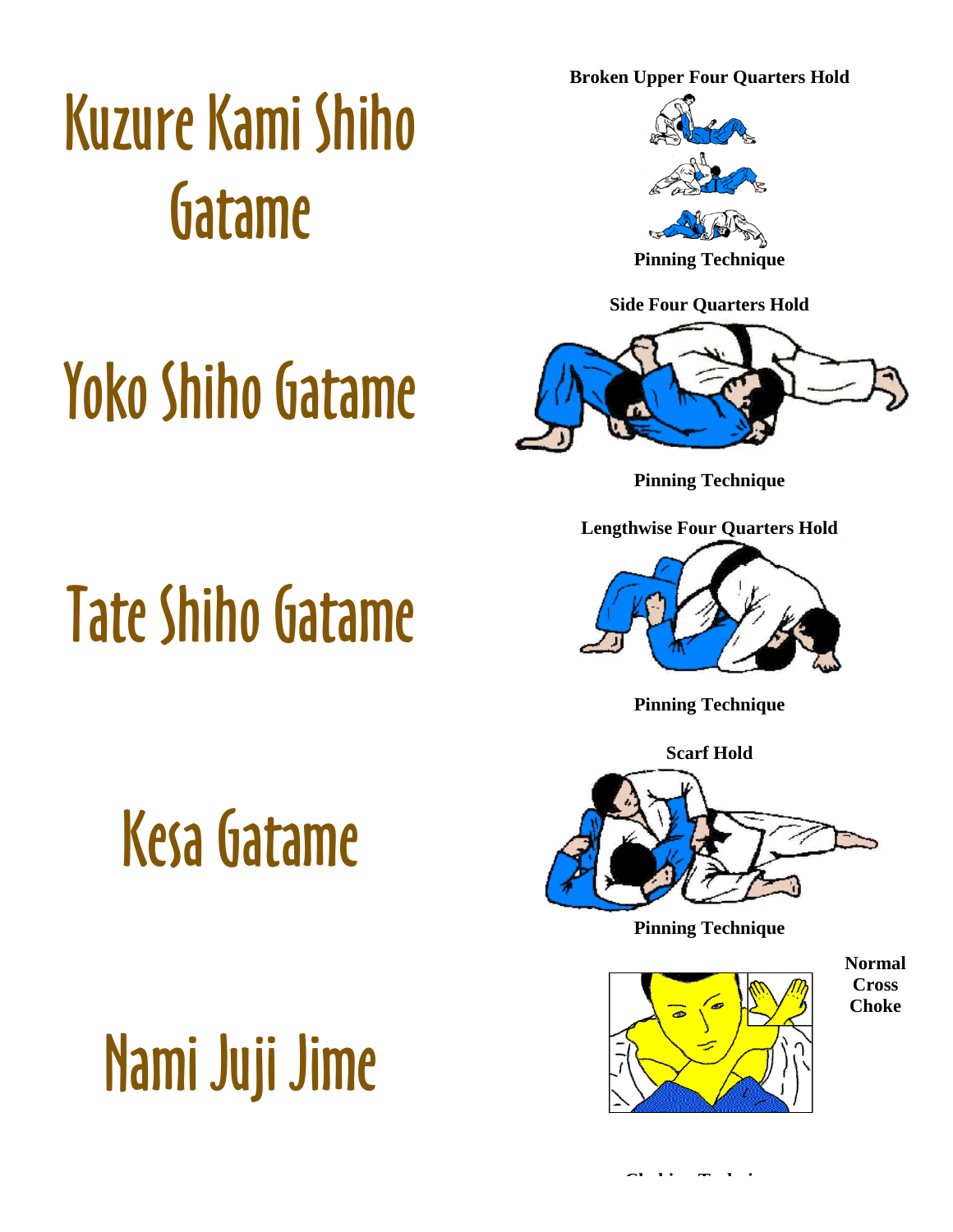**Broken Upper Four Quarters Hold** 

### [Kuzure Kami Shiho](http://www.judoinfo.com/images/osaekomi/kuzure_kami_shio_gatame.gif)  [Gatame](http://www.judoinfo.com/images/osaekomi/kuzure_kami_shio_gatame.gif)



**Pinning Technique**

**Side Four Quarters Hold** 

# [Yoko Shiho Gatame](http://www.judoinfo.com/images/osaekomi/yoko_shiho_gatame.gif)



**Pinning Technique**

**Lengthwise Four Quarters Hold** 



**Pinning Technique**

**Scarf Hold** 



**Pinning Technique**



**Normal Cross Choke** 

# [Tate Shiho Gatame](http://www.judoinfo.com/images/osaekomi/tate_shiho_gatame.gif)

[Kesa Gatame](http://www.judoinfo.com/images/osaekomi/hon_kesa_gatame.gif)

# [Nami Juji Jime](http://www.judoinfo.com/images/shime/nami_juji_jime.gif)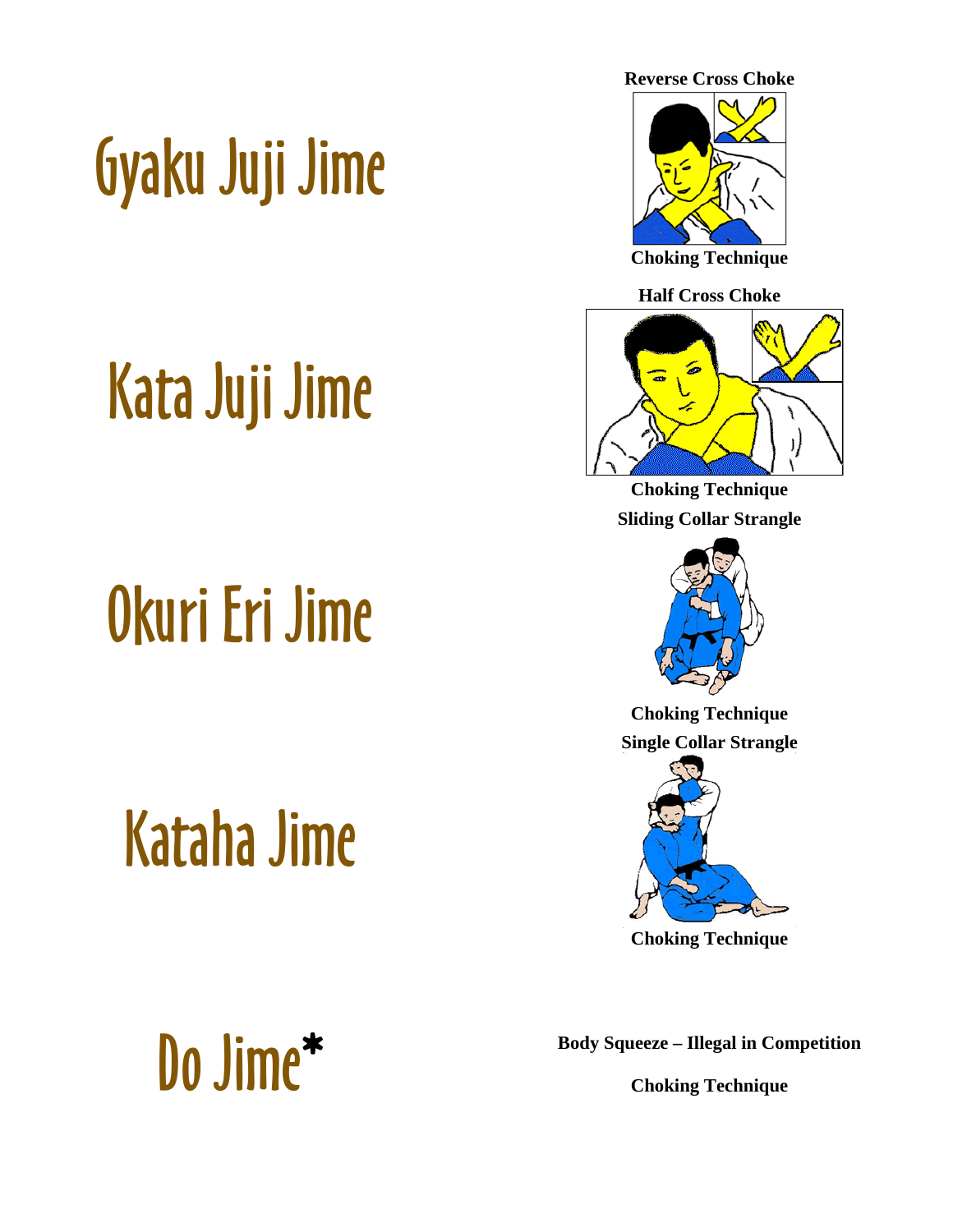# [Gyaku Juji Jime](http://www.judoinfo.com/images/shime/gyaku_juji_jime.gif)

## [Kata Juji Jime](http://www.judoinfo.com/images/shime/kata_juji_jime.gif)

## [Okuri Eri Jime](http://www.judoinfo.com/images/shime/okuri_eri_jime.gif)

## [Kataha Jime](http://www.judoinfo.com/images/shime/kata_ha_jime.gif)



**Reverse Cross Choke** 



**Choking Technique**

**Half Cross Choke** 



**Choking Technique Sliding Collar Strangle** 



**Choking Technique Single Collar Strangle** 



**Choking Technique**

**Choking Technique**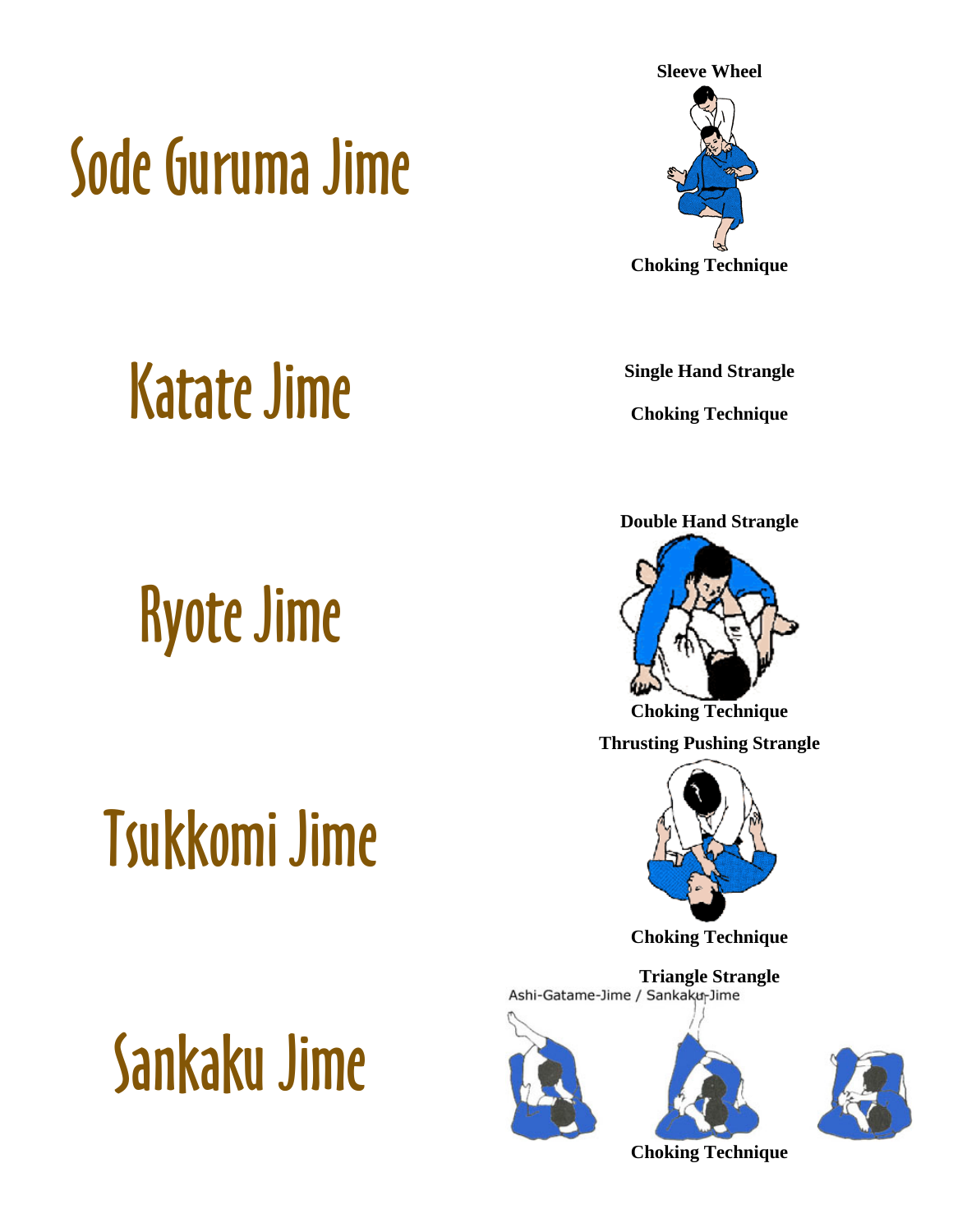# [Sode Guruma Jime](http://www.judoinfo.com/images/shime/sode_guruma_jime.gif)



**Choking Technique**

## [Katate Jime](http://judoinfo.com/gokyo3.htm) **Single Hand Strangle**

# [Ryote Jime](http://www.judoinfo.com/images/ryotejime.gif)

# [Tsukkomi Jime](http://judoinfo.com/gokyo3.htm)

# [Sankaku Jime](http://www.hoebeke.nl/images/technieken/Verwurgingen/Sankaku-Jime.JPG)

**Choking Technique**

**Double Hand Strangle** 



**Choking Technique**

**Thrusting Pushing Strangle** 



**Choking Technique**

**Triangle Strangle**<br>Ashi-Gatame-Jime / Sankaku-Jime







**Choking Technique**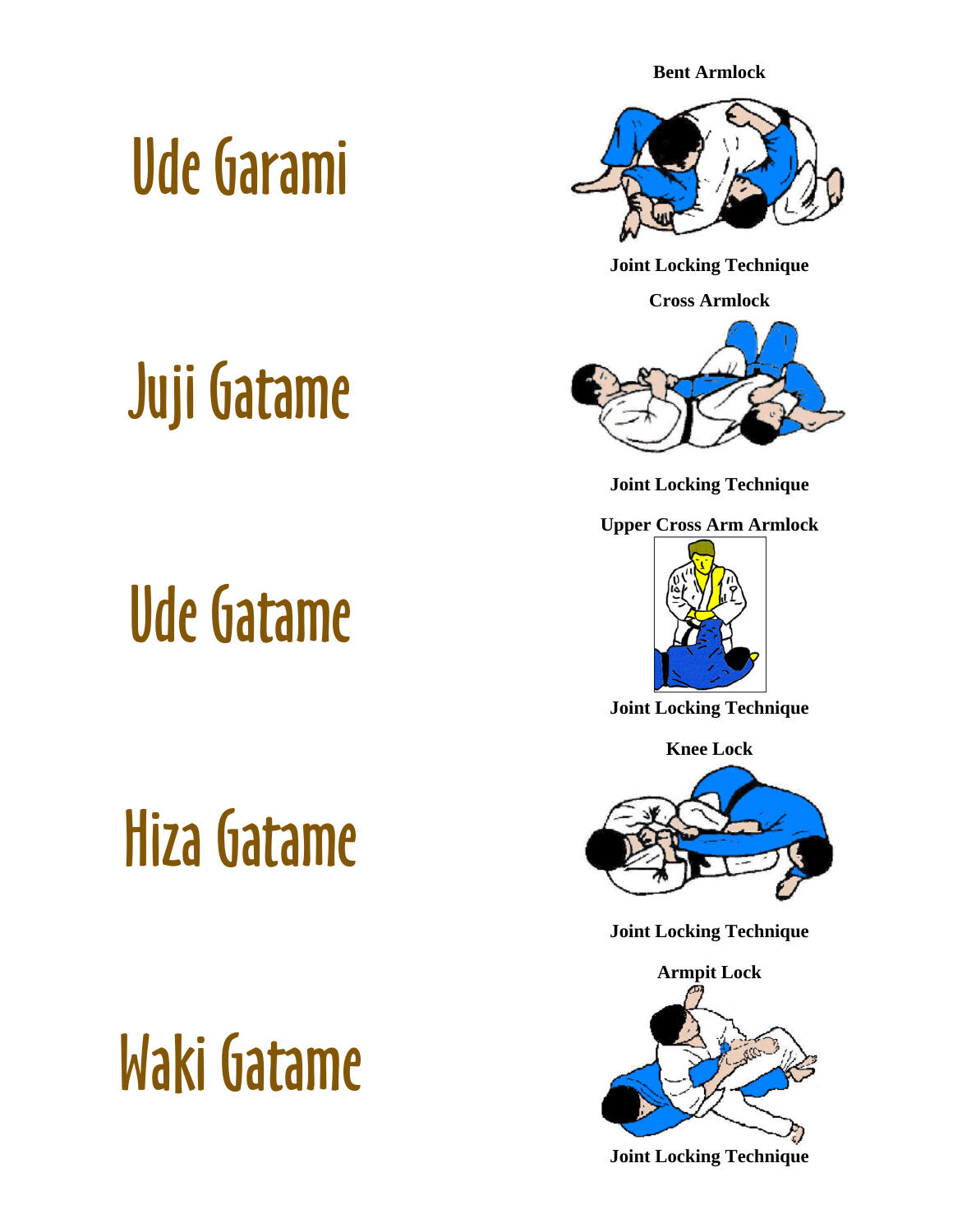**Bent Armlock** 

### [Ude Garami](http://www.judoinfo.com/quiz0297_2.htm)



**Joint Locking Technique**

**Cross Armlock** 



**Joint Locking Technique**

**Upper Cross Arm Armlock** 



**Joint Locking Technique**

**Knee Lock** 



**Joint Locking Technique**



**Joint Locking Technique**

## Juji Gatame

### [Ude Gatame](http://web1.vattnet.com/judo/katamewaza/udegatame.html)

# [Hiza Gatame](http://www.judoinfo.com/images/kansetsu/hiza_gatame.gif)

[Waki Gatame](http://web1.vattnet.com/judo/katamewaza/wakigatame.html)